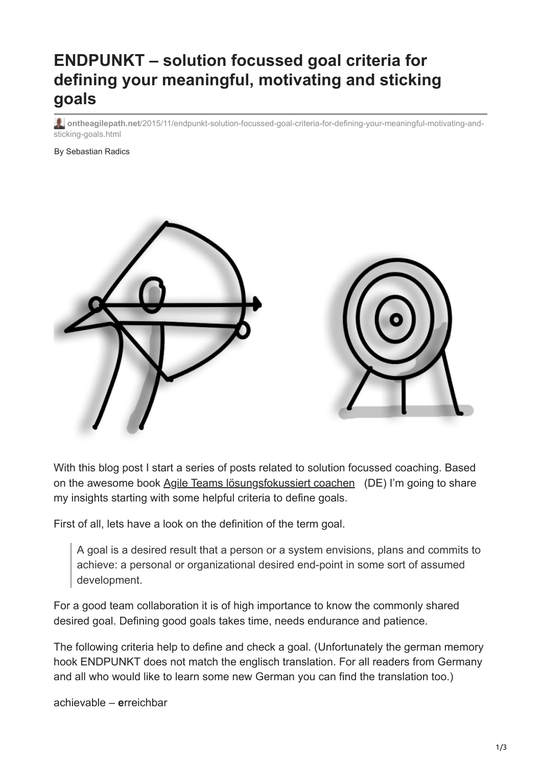# **ENDPUNKT – solution focussed goal criteria for defining your meaningful, motivating and sticking goals**

**ontheagilepath.net**[/2015/11/endpunkt-solution-focussed-goal-criteria-for-defining-your-meaningful-motivating-and](https://www.ontheagilepath.net/2015/11/endpunkt-solution-focussed-goal-criteria-for-defining-your-meaningful-motivating-and-sticking-goals.html)sticking-goals.html

By Sebastian Radics



With this blog post I start a series of posts related to solution focussed coaching. Based on the awesome book [Agile Teams lösungsfokussiert coachen](http://www.amazon.de/gp/product/B014TAOPCK/ref=as_li_tl?ie=UTF8&camp=1638&creative=19454&creativeASIN=B014TAOPCK&linkCode=as2&tag=httpwwwradics-21) (DE) I'm going to share my insights starting with some helpful criteria to define goals.

First of all, lets have a look on the definition of the term goal.

A goal is a desired result that a person or a system envisions, plans and commits to achieve: a personal or organizational desired end-point in some sort of assumed development.

For a good team collaboration it is of high importance to know the commonly shared desired goal. Defining good goals takes time, needs endurance and patience.

The following criteria help to define and check a goal. (Unfortunately the german memory hook ENDPUNKT does not match the englisch translation. For all readers from Germany and all who would like to learn some new German you can find the translation too.)

achievable – **e**rreichbar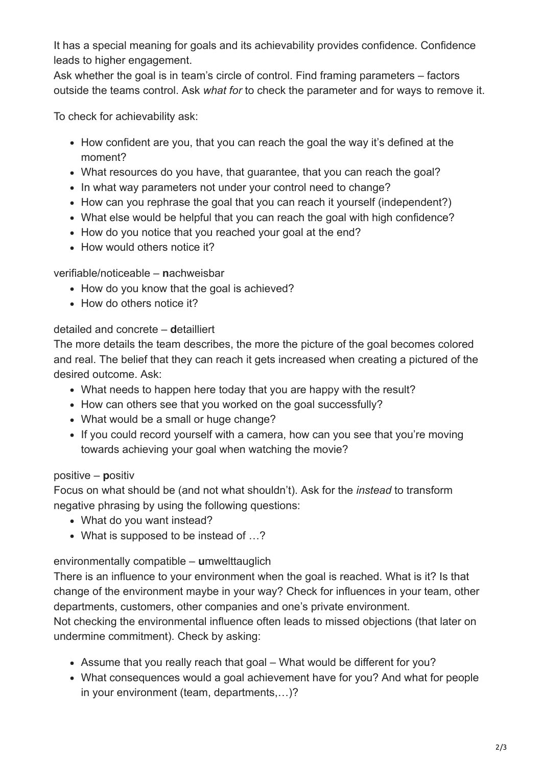It has a special meaning for goals and its achievability provides confidence. Confidence leads to higher engagement.

Ask whether the goal is in team's circle of control. Find framing parameters – factors outside the teams control. Ask *what for* to check the parameter and for ways to remove it.

To check for achievability ask:

- How confident are you, that you can reach the goal the way it's defined at the moment?
- What resources do you have, that guarantee, that you can reach the goal?
- In what way parameters not under your control need to change?
- How can you rephrase the goal that you can reach it yourself (independent?)
- What else would be helpful that you can reach the goal with high confidence?
- How do you notice that you reached your goal at the end?
- How would others notice it?

#### verifiable/noticeable – **n**achweisbar

- How do you know that the goal is achieved?
- How do others notice it?

## detailed and concrete – **d**etailliert

The more details the team describes, the more the picture of the goal becomes colored and real. The belief that they can reach it gets increased when creating a pictured of the desired outcome. Ask:

- What needs to happen here today that you are happy with the result?
- How can others see that you worked on the goal successfully?
- What would be a small or huge change?
- If you could record yourself with a camera, how can you see that you're moving towards achieving your goal when watching the movie?

#### positive – **p**ositiv

Focus on what should be (and not what shouldn't). Ask for the *instead* to transform negative phrasing by using the following questions:

- What do you want instead?
- What is supposed to be instead of …?

#### environmentally compatible – **u**mwelttauglich

There is an influence to your environment when the goal is reached. What is it? Is that change of the environment maybe in your way? Check for influences in your team, other departments, customers, other companies and one's private environment.

Not checking the environmental influence often leads to missed objections (that later on undermine commitment). Check by asking:

- Assume that you really reach that goal What would be different for you?
- What consequences would a goal achievement have for you? And what for people in your environment (team, departments,…)?